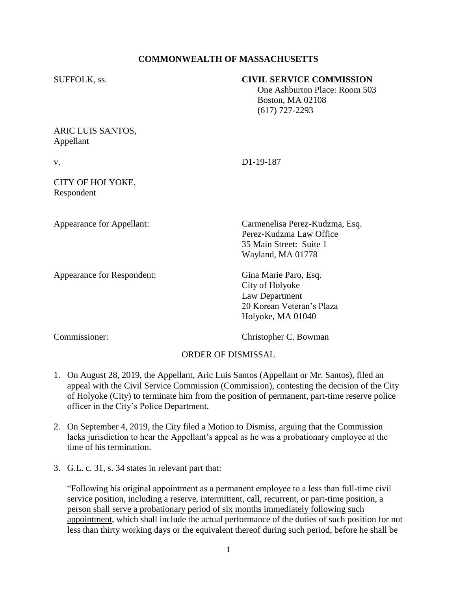## **COMMONWEALTH OF MASSACHUSETTS**

| SUFFOLK, ss.                   | <b>CIVIL SERVICE COMMISSION</b><br>One Ashburton Place: Room 503<br>Boston, MA 02108<br>$(617)$ 727-2293     |
|--------------------------------|--------------------------------------------------------------------------------------------------------------|
| ARIC LUIS SANTOS,<br>Appellant |                                                                                                              |
| V.                             | D1-19-187                                                                                                    |
| CITY OF HOLYOKE,<br>Respondent |                                                                                                              |
| Appearance for Appellant:      | Carmenelisa Perez-Kudzma, Esq.<br>Perez-Kudzma Law Office<br>35 Main Street: Suite 1<br>Wayland, MA 01778    |
| Appearance for Respondent:     | Gina Marie Paro, Esq.<br>City of Holyoke<br>Law Department<br>20 Korean Veteran's Plaza<br>Holyoke, MA 01040 |
| Commissioner:                  | Christopher C. Bowman                                                                                        |

## ORDER OF DISMISSAL

- 1. On August 28, 2019, the Appellant, Aric Luis Santos (Appellant or Mr. Santos), filed an appeal with the Civil Service Commission (Commission), contesting the decision of the City of Holyoke (City) to terminate him from the position of permanent, part-time reserve police officer in the City's Police Department.
- 2. On September 4, 2019, the City filed a Motion to Dismiss, arguing that the Commission lacks jurisdiction to hear the Appellant's appeal as he was a probationary employee at the time of his termination.
- 3. G.L. c. 31, s. 34 states in relevant part that:

"Following his original appointment as a permanent employee to a less than full-time civil service position, including a reserve, intermittent, call, recurrent, or part-time position, a person shall serve a probationary period of six months immediately following such appointment, which shall include the actual performance of the duties of such position for not less than thirty working days or the equivalent thereof during such period, before he shall be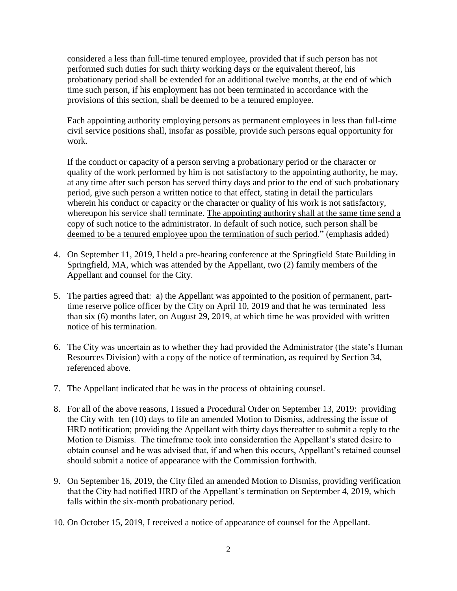considered a less than full-time tenured employee, provided that if such person has not performed such duties for such thirty working days or the equivalent thereof, his probationary period shall be extended for an additional twelve months, at the end of which time such person, if his employment has not been terminated in accordance with the provisions of this section, shall be deemed to be a tenured employee.

Each appointing authority employing persons as permanent employees in less than full-time civil service positions shall, insofar as possible, provide such persons equal opportunity for work.

If the conduct or capacity of a person serving a probationary period or the character or quality of the work performed by him is not satisfactory to the appointing authority, he may, at any time after such person has served thirty days and prior to the end of such probationary period, give such person a written notice to that effect, stating in detail the particulars wherein his conduct or capacity or the character or quality of his work is not satisfactory, whereupon his service shall terminate. The appointing authority shall at the same time send a copy of such notice to the administrator. In default of such notice, such person shall be deemed to be a tenured employee upon the termination of such period." (emphasis added)

- 4. On September 11, 2019, I held a pre-hearing conference at the Springfield State Building in Springfield, MA, which was attended by the Appellant, two (2) family members of the Appellant and counsel for the City.
- 5. The parties agreed that: a) the Appellant was appointed to the position of permanent, parttime reserve police officer by the City on April 10, 2019 and that he was terminated less than six (6) months later, on August 29, 2019, at which time he was provided with written notice of his termination.
- 6. The City was uncertain as to whether they had provided the Administrator (the state's Human Resources Division) with a copy of the notice of termination, as required by Section 34, referenced above.
- 7. The Appellant indicated that he was in the process of obtaining counsel.
- 8. For all of the above reasons, I issued a Procedural Order on September 13, 2019: providing the City with ten (10) days to file an amended Motion to Dismiss, addressing the issue of HRD notification; providing the Appellant with thirty days thereafter to submit a reply to the Motion to Dismiss. The timeframe took into consideration the Appellant's stated desire to obtain counsel and he was advised that, if and when this occurs, Appellant's retained counsel should submit a notice of appearance with the Commission forthwith.
- 9. On September 16, 2019, the City filed an amended Motion to Dismiss, providing verification that the City had notified HRD of the Appellant's termination on September 4, 2019, which falls within the six-month probationary period.
- 10. On October 15, 2019, I received a notice of appearance of counsel for the Appellant.